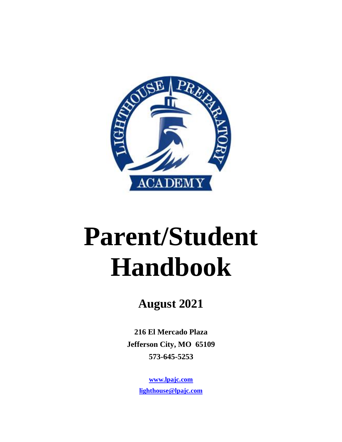

# **Parent/Student Handbook**

# **August 2021**

**216 El Mercado Plaza Jefferson City, MO 65109 573-645-5253**

> **[www.lpajc.com](http://www.lpajc.com/) [lighthouse@lpajc.com](mailto:lighthouse@lpajc.com)**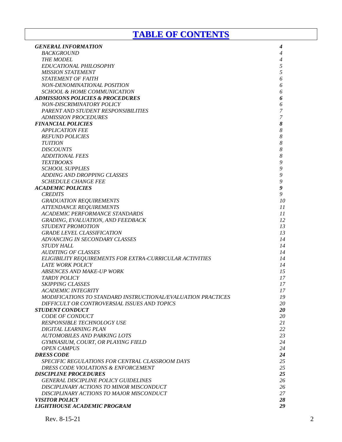## **TABLE OF CONTENTS**

| <b>GENERAL INFORMATION</b>                                   | 4                |
|--------------------------------------------------------------|------------------|
| BACKGROUND                                                   | 4                |
| <b>THE MODEL</b>                                             | 4                |
| EDUCATIONAL PHILOSOPHY                                       | $\sqrt{2}$       |
| <b>MISSION STATEMENT</b>                                     | 5                |
| <b>STATEMENT OF FAITH</b>                                    | 6                |
| NON-DENOMINATIONAL POSITION                                  | 6                |
| <b>SCHOOL &amp; HOME COMMUNICATION</b>                       | 6                |
| <b>ADMISSIONS POLICIES &amp; PROCEDURES</b>                  | 6                |
| <b>NON-DISCRIMINATORY POLICY</b>                             | 6                |
| PARENT AND STUDENT RESPONSIBILITIES                          | $\boldsymbol{7}$ |
| <b>ADMISSION PROCEDURES</b>                                  | $\boldsymbol{7}$ |
| <b>FINANCIAL POLICIES</b>                                    | 8                |
| <b>APPLICATION FEE</b>                                       | $\boldsymbol{8}$ |
| <b>REFUND POLICIES</b>                                       | 8                |
| <b>TUITION</b>                                               | $\boldsymbol{8}$ |
| <b>DISCOUNTS</b>                                             | $\boldsymbol{8}$ |
| <b>ADDITIONAL FEES</b>                                       | $\boldsymbol{8}$ |
| <b>TEXTBOOKS</b>                                             | 9                |
| <b>SCHOOL SUPPLIES</b>                                       | 9                |
|                                                              |                  |
| ADDING AND DROPPING CLASSES                                  | 9                |
| <b>SCHEDULE CHANGE FEE</b>                                   | 9                |
| <b>ACADEMIC POLICIES</b>                                     | 9                |
| <b>CREDITS</b>                                               | 9                |
| <b>GRADUATION REQUIREMENTS</b>                               | 10               |
| <b>ATTENDANCE REQUIREMENTS</b>                               | 11               |
| <b>ACADEMIC PERFORMANCE STANDARDS</b>                        | 11               |
| GRADING, EVALUATION, AND FEEDBACK                            | 12               |
| <b>STUDENT PROMOTION</b>                                     | 13               |
| <b>GRADE LEVEL CLASSIFICATION</b>                            | 13               |
| ADVANCING IN SECONDARY CLASSES                               | 14               |
| <b>STUDY HALL</b>                                            | 14               |
| <b>AUDITING OF CLASSES</b>                                   | 14               |
| ELIGIBILITY REQUIREMENTS FOR EXTRA-CURRICULAR ACTIVITIES     | 14               |
| <b>LATE WORK POLICY</b>                                      | 14               |
| <b>ABSENCES AND MAKE-UP WORK</b>                             | 15               |
| <b>TARDY POLICY</b>                                          | 17               |
| <b>SKIPPING CLASSES</b>                                      | 17               |
| <i><b>ACADEMIC INTEGRITY</b></i>                             | 17               |
| MODIFICATIONS TO STANDARD INSTRUCTIONAL/EVALUATION PRACTICES | 19               |
| DIFFICULT OR CONTROVERSIAL ISSUES AND TOPICS                 | 20               |
| <b>STUDENT CONDUCT</b>                                       | 20               |
| <b>CODE OF CONDUCT</b>                                       | 20               |
| <b>RESPONSIBLE TECHNOLOGY USE</b>                            | 21               |
| <b>DIGITAL LEARNING PLAN</b>                                 | 22               |
| <b>AUTOMOBILES AND PARKING LOTS</b>                          | 23               |
|                                                              |                  |
| GYMNASIUM, COURT, OR PLAYING FIELD                           | 24               |
| <b>OPEN CAMPUS</b>                                           | 24               |
| <b>DRESS CODE</b>                                            | 24               |
| SPECIFIC REGULATIONS FOR CENTRAL CLASSROOM DAYS              | 25               |
| DRESS CODE VIOLATIONS & ENFORCEMENT                          | 25               |
| <b>DISCIPLINE PROCEDURES</b>                                 | 25               |
| <b>GENERAL DISCIPLINE POLICY GUIDELINES</b>                  | 26               |
| DISCIPLINARY ACTIONS TO MINOR MISCONDUCT                     | 26               |
| DISCIPLINARY ACTIONS TO MAJOR MISCONDUCT                     | 27               |
| <b>VISITOR POLICY</b>                                        | 28               |
| LIGHTHOUSE ACADEMIC PROGRAM                                  | 29               |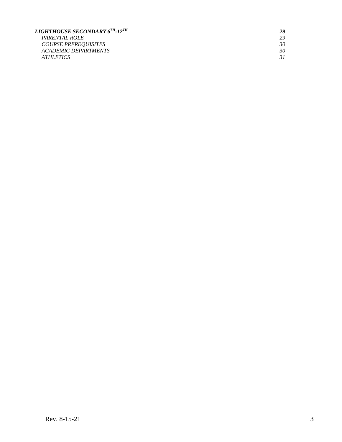<span id="page-2-0"></span>

| LIGHTHOUSE SECONDARY 6 <sup>th</sup> -12 <sup>th</sup> | 29 |
|--------------------------------------------------------|----|
| <i>PARENTAL ROLE</i>                                   | 29 |
| <b>COURSE PREREOUISITES</b>                            | 30 |
| <b>ACADEMIC DEPARTMENTS</b>                            | 30 |
| <i>ATHLETICS</i>                                       |    |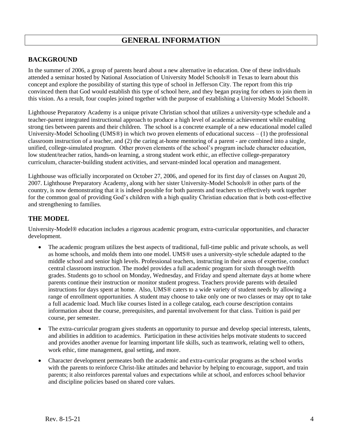## **GENERAL INFORMATION**

#### <span id="page-3-0"></span>**BACKGROUND**

In the summer of 2006, a group of parents heard about a new alternative in education. One of these individuals attended a seminar hosted by National Association of University Model Schools® in Texas to learn about this concept and explore the possibility of starting this type of school in Jefferson City. The report from this trip convinced them that God would establish this type of school here, and they began praying for others to join them in this vision. As a result, four couples joined together with the purpose of establishing a University Model School®.

Lighthouse Preparatory Academy is a unique private Christian school that utilizes a university-type schedule and a teacher-parent integrated instructional approach to produce a high level of academic achievement while enabling strong ties between parents and their children. The school is a concrete example of a new educational model called University-Model Schooling (UMS<sup>®</sup>) in which two proven elements of educational success  $- (1)$  the professional classroom instruction of a teacher, and (2) the caring at-home mentoring of a parent - are combined into a single, unified, college-simulated program. Other proven elements of the school's program include character education, low student/teacher ratios, hands-on learning, a strong student work ethic, an effective college-preparatory curriculum, character-building student activities, and servant-minded local operation and management.

Lighthouse was officially incorporated on October 27, 2006, and opened for its first day of classes on August 20, 2007. Lighthouse Preparatory Academy, along with her sister University-Model Schools® in other parts of the country, is now demonstrating that it is indeed possible for both parents and teachers to effectively work together for the common goal of providing God's children with a high quality Christian education that is both cost-effective and strengthening to families.

#### <span id="page-3-1"></span>**THE MODEL**

University-Model® education includes a rigorous academic program, extra-curricular opportunities, and character development.

- The academic program utilizes the best aspects of traditional, full-time public and private schools, as well as home schools, and molds them into one model. UMS® uses a university-style schedule adapted to the middle school and senior high levels. Professional teachers, instructing in their areas of expertise, conduct central classroom instruction. The model provides a full academic program for sixth through twelfth grades. Students go to school on Monday, Wednesday, and Friday and spend alternate days at home where parents continue their instruction or monitor student progress. Teachers provide parents with detailed instructions for days spent at home. Also, UMS® caters to a wide variety of student needs by allowing a range of enrollment opportunities. A student may choose to take only one or two classes or may opt to take a full academic load. Much like courses listed in a college catalog, each course description contains information about the course, prerequisites, and parental involvement for that class. Tuition is paid per course, per semester.
- The extra-curricular program gives students an opportunity to pursue and develop special interests, talents, and abilities in addition to academics. Participation in these activities helps motivate students to succeed and provides another avenue for learning important life skills, such as teamwork, relating well to others, work ethic, time management, goal setting, and more.
- Character development permeates both the academic and extra-curricular programs as the school works with the parents to reinforce Christ-like attitudes and behavior by helping to encourage, support, and train parents; it also reinforces parental values and expectations while at school, and enforces school behavior and discipline policies based on shared core values.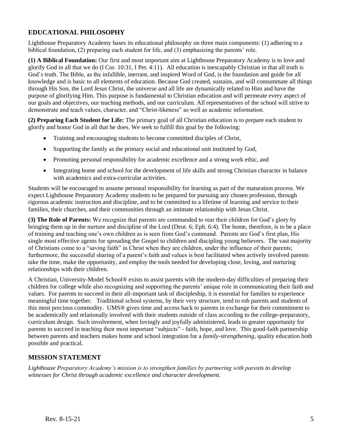## <span id="page-4-0"></span>**EDUCATIONAL PHILOSOPHY**

Lighthouse Preparatory Academy bases its educational philosophy on three main components: (1) adhering to a biblical foundation, (2) preparing each student for life, and (3) emphasizing the parents' role.

**(1) A Biblical Foundation:** Our first and most important aim at Lighthouse Preparatory Academy is to love and glorify God in all that we do (I Cor. 10:31, I Pet. 4:11). All education is inescapably Christian in that all truth is God's truth. The Bible, as the infallible, inerrant, and inspired Word of God, is the foundation and guide for all knowledge and is basic to all elements of education. Because God created, sustains, and will consummate all things through His Son, the Lord Jesus Christ, the universe and all life are dynamically related to Him and have the purpose of glorifying Him. This purpose is fundamental to Christian education and will permeate every aspect of our goals and objectives, our teaching methods, and our curriculum. All representatives of the school will strive to demonstrate and teach values, character, and "Christ-likeness" as well as academic information.

**(2) Preparing Each Student for Life:** The primary goal of all Christian education is to prepare each student to glorify and honor God in all that he does. We seek to fulfill this goal by the following:

- Training and encouraging students to become committed disciples of Christ,
- Supporting the family as the primary social and educational unit instituted by God,
- Promoting personal responsibility for academic excellence and a strong work ethic, and
- Integrating home and school for the development of life skills and strong Christian character in balance with academics and extra-curricular activities.

Students will be encouraged to assume personal responsibility for learning as part of the maturation process. We expect Lighthouse Preparatory Academy students to be prepared for pursuing any chosen profession, through rigorous academic instruction and discipline, and to be committed to a lifetime of learning and service to their families, their churches, and their communities through an intimate relationship with Jesus Christ.

**(3) The Role of Parents:** We recognize that parents are commanded to rear their children for God's glory by bringing them up in the nurture and discipline of the Lord (Deut. 6; Eph. 6:4). The home, therefore, is to be a place of training and teaching one's own children as is seen from God's command. Parents are God's first plan, His single most effective agents for spreading the Gospel to children and discipling young believers. The vast majority of Christians come to a "saving faith" in Christ when they are children, under the influence of their parents; furthermore, the successful sharing of a parent's faith and values is best facilitated when actively involved parents take the time, make the opportunity, and employ the tools needed for developing close, loving, and nurturing relationships with their children.

A Christian, University-Model School® exists to assist parents with the modern-day difficulties of preparing their children for college while also recognizing and supporting the parents' unique role in communicating their faith and values. For parents to succeed in their all-important task of discipleship, it is essential for families to experience meaningful time together. Traditional school systems, by their very structure, tend to rob parents and students of this most precious commodity. UMS® gives time and access back to parents in exchange for their commitment to be academically and relationally involved with their students outside of class according to the college-preparatory, curriculum design. Such involvement, when lovingly and joyfully administered, leads to greater opportunity for parents to succeed in teaching their most important "subjects" - faith, hope, and love. This good-faith partnership between parents and teachers makes home and school integration for a *family-strengthening*, quality education both possible and practical.

#### <span id="page-4-1"></span>**MISSION STATEMENT**

*Lighthouse Preparatory Academy's mission is to strengthen families by partnering with parents to develop witnesses for Christ through academic excellence and character development.*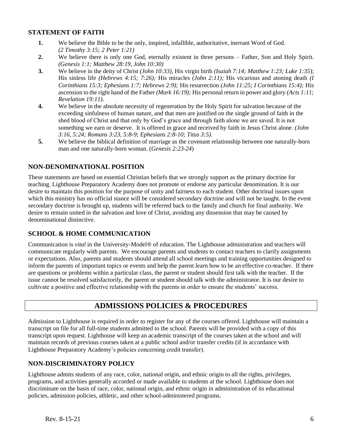#### <span id="page-5-0"></span>**STATEMENT OF FAITH**

- **1.** We believe the Bible to be the only, inspired, infallible, authoritative, inerrant Word of God. *(2 Timothy 3:15; 2 Peter 1:21)*
- **2.** We believe there is only one God, eternally existent in three persons Father, Son and Holy Spirit. *(Genesis 1:1; Matthew 28:19, John 10:30)*
- **3.** We believe in the deity of Christ *(John 10:33),* His virgin birth *(Isaiah 7:14; Matthew 1:23; Luke 1:35*); His sinless life *(Hebrews 4:15; 7:26);* His miracles (*John 2:11);* His vicarious and atoning death *(I Corinthians 15:3; Ephesians 1:7; Hebrews 2:9);* His resurrection *(John 11:25; I Corinthians 15:4);* His ascension to the right hand of the Father *(Mark 16:19);* His personal return in power and glory *(Acts 1:11; Revelation 19:11).*
- **4.** We believe in the absolute necessity of regeneration by the Holy Spirit for salvation because of the exceeding sinfulness of human nature, and that men are justified on the single ground of faith in the shed blood of Christ and that only by God's grace and through faith alone we are saved. It is not something we earn or deserve. It is offered in grace and received by faith in Jesus Christ alone. *(John 3:16, 5:24; Romans 3:23, 5:8-9; Ephesians 2:8-10; Titus 3:5).*
- **5.** We believe the biblical definition of marriage as the covenant relationship between one naturally-born man and one naturally-born woman. (*Genesis 2:23-24*)

#### <span id="page-5-1"></span>**NON-DENOMINATIONAL POSITION**

These statements are based on essential Christian beliefs that we strongly support as the primary doctrine for teaching. Lighthouse Preparatory Academy does not promote or endorse any particular denomination. It is our desire to maintain this position for the purpose of unity and fairness to each student. Other doctrinal issues upon which this ministry has no official stance will be considered secondary doctrine and will not be taught. In the event secondary doctrine is brought up, students will be referred back to the family and church for final authority. We desire to remain united in the salvation and love of Christ, avoiding any dissension that may be caused by denominational distinctive.

#### <span id="page-5-2"></span>**SCHOOL & HOME COMMUNICATION**

Communication is *vital* in the University-Model® of education. The Lighthouse administration and teachers will communicate regularly with parents. We encourage parents and students to contact teachers to clarify assignments or expectations. Also, parents and students should attend all school meetings and training opportunities designed to inform the parents of important topics or events and help the parent learn how to be an effective co-teacher. If there are questions or problems within a particular class, the parent or student should first talk with the teacher. If the issue cannot be resolved satisfactorily, the parent or student should talk with the administrator. It is our desire to cultivate a positive and effective relationship with the parents in order to ensure the students' success.

## **ADMISSIONS POLICIES & PROCEDURES**

<span id="page-5-3"></span>Admission to Lighthouse is required in order to register for any of the courses offered. Lighthouse will maintain a transcript on file for all full-time students admitted to the school. Parents will be provided with a copy of this transcript upon request. Lighthouse will keep an academic transcript of the courses taken at the school and will maintain records of previous courses taken at a public school and/or transfer credits (if in accordance with Lighthouse Preparatory Academy's policies concerning credit transfer).

#### <span id="page-5-4"></span>**NON-DISCRIMINATORY POLICY**

Lighthouse admits students of any race, color, national origin, and ethnic origin to all the rights, privileges, programs, and activities generally accorded or made available to students at the school. Lighthouse does not discriminate on the basis of race, color, national origin, and ethnic origin in administration of its educational policies, admission policies, athletic, and other school-administered programs.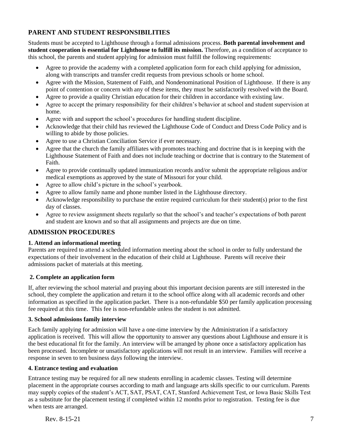## <span id="page-6-0"></span>**PARENT AND STUDENT RESPONSIBILITIES**

Students must be accepted to Lighthouse through a formal admissions process. **Both parental involvement and student cooperation is essential for Lighthouse to fulfill its mission.** Therefore, as a condition of acceptance to this school, the parents and student applying for admission must fulfill the following requirements:

- Agree to provide the academy with a completed application form for each child applying for admission, along with transcripts and transfer credit requests from previous schools or home school.
- Agree with the Mission, Statement of Faith, and Nondenominational Position of Lighthouse. If there is any point of contention or concern with any of these items, they must be satisfactorily resolved with the Board.
- Agree to provide a quality Christian education for their children in accordance with existing law.
- Agree to accept the primary responsibility for their children's behavior at school and student supervision at home.
- Agree with and support the school's procedures for handling student discipline.
- Acknowledge that their child has reviewed the Lighthouse Code of Conduct and Dress Code Policy and is willing to abide by those policies.
- Agree to use a Christian Conciliation Service if ever necessary.
- Agree that the church the family affiliates with promotes teaching and doctrine that is in keeping with the Lighthouse Statement of Faith and does not include teaching or doctrine that is contrary to the Statement of Faith.
- Agree to provide continually updated immunization records and/or submit the appropriate religious and/or medical exemptions as approved by the state of Missouri for your child.
- Agree to allow child's picture in the school's yearbook.
- Agree to allow family name and phone number listed in the Lighthouse directory.
- Acknowledge responsibility to purchase the entire required curriculum for their student(s) prior to the first day of classes.
- Agree to review assignment sheets regularly so that the school's and teacher's expectations of both parent and student are known and so that all assignments and projects are due on time.

## <span id="page-6-1"></span>**ADMISSION PROCEDURES**

#### **1. Attend an informational meeting**

Parents are required to attend a scheduled information meeting about the school in order to fully understand the expectations of their involvement in the education of their child at Lighthouse. Parents will receive their admissions packet of materials at this meeting.

#### **2. Complete an application form**

If, after reviewing the school material and praying about this important decision parents are still interested in the school, they complete the application and return it to the school office along with all academic records and other information as specified in the application packet. There is a non-refundable \$50 per family application processing fee required at this time. This fee is non-refundable unless the student is not admitted.

#### **3. School admissions family interview**

Each family applying for admission will have a one-time interview by the Administration if a satisfactory application is received. This will allow the opportunity to answer any questions about Lighthouse and ensure it is the best educational fit for the family. An interview will be arranged by phone once a satisfactory application has been processed. Incomplete or unsatisfactory applications will not result in an interview. Families will receive a response in seven to ten business days following the interview.

#### **4. Entrance testing and evaluation**

Entrance testing may be required for all new students enrolling in academic classes. Testing will determine placement in the appropriate courses according to math and language arts skills specific to our curriculum. Parents may supply copies of the student's ACT, SAT, PSAT, CAT, Stanford Achievement Test, or Iowa Basic Skills Test as a substitute for the placement testing if completed within 12 months prior to registration. Testing fee is due when tests are arranged.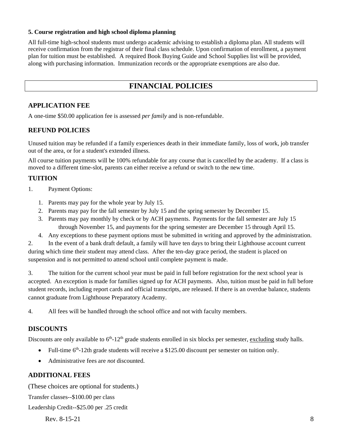#### **5. Course registration and high school diploma planning**

All full-time high-school students must undergo academic advising to establish a diploma plan. All students will receive confirmation from the registrar of their final class schedule. Upon confirmation of enrollment, a payment plan for tuition must be established. A required Book Buying Guide and School Supplies list will be provided, along with purchasing information. Immunization records or the appropriate exemptions are also due.

## **FINANCIAL POLICIES**

#### <span id="page-7-1"></span><span id="page-7-0"></span>**APPLICATION FEE**

A one-time \$50.00 application fee is assessed *per family* and is non-refundable.

#### <span id="page-7-2"></span>**REFUND POLICIES**

Unused tuition may be refunded if a family experiences death in their immediate family, loss of work, job transfer out of the area, or for a student's extended illness.

All course tuition payments will be 100% refundable for any course that is cancelled by the academy. If a class is moved to a different time-slot, parents can either receive a refund or switch to the new time.

#### <span id="page-7-3"></span>**TUITION**

- 1. Payment Options:
	- 1. Parents may pay for the whole year by July 15.
	- 2. Parents may pay for the fall semester by July 15 and the spring semester by December 15.
	- 3. Parents may pay monthly by check or by ACH payments. Payments for the fall semester are July 15 through November 15, and payments for the spring semester are December 15 through April 15.
	- 4. Any exceptions to these payment options must be submitted in writing and approved by the administration.

2. In the event of a bank draft default, a family will have ten days to bring their Lighthouse account current during which time their student may attend class. After the ten-day grace period, the student is placed on suspension and is not permitted to attend school until complete payment is made.

3. The tuition for the current school year must be paid in full before registration for the next school year is accepted. An exception is made for families signed up for ACH payments. Also, tuition must be paid in full before student records, including report cards and official transcripts, are released. If there is an overdue balance, students cannot graduate from Lighthouse Preparatory Academy.

4. All fees will be handled through the school office and not with faculty members.

#### <span id="page-7-4"></span>**DISCOUNTS**

Discounts are only available to  $6<sup>th</sup>$ -12<sup>th</sup> grade students enrolled in six blocks per semester, excluding study halls.

- Full-time  $6<sup>th</sup>$ -12th grade students will receive a \$125.00 discount per semester on tuition only.
- Administrative fees are *not* discounted.

#### <span id="page-7-5"></span>**ADDITIONAL FEES**

(These choices are optional for students.)

Transfer classes--\$100.00 per class

Leadership Credit--\$25.00 per .25 credit

 $\text{Rev. } 8-15-21$  8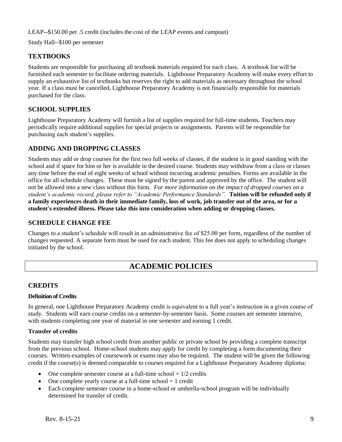LEAP**--**\$150.00 per .5 credit (includes the cost of the LEAP events and campout)

Study Hall--\$100 per semester

#### <span id="page-8-0"></span>**TEXTBOOKS**

Students are responsible for purchasing all textbook materials required for each class. A textbook list will be furnished each semester to facilitate ordering materials. Lighthouse Preparatory Academy will make every effort to supply an exhaustive list of textbooks but reserves the right to add materials as necessary throughout the school year. If a class must be cancelled, Lighthouse Preparatory Academy is not financially responsible for materials purchased for the class.

#### <span id="page-8-1"></span>**SCHOOL SUPPLIES**

Lighthouse Preparatory Academy will furnish a list of supplies required for full-time students. Teachers may periodically require additional supplies for special projects or assignments. Parents will be responsible for purchasing each student's supplies.

#### <span id="page-8-2"></span>**ADDING AND DROPPING CLASSES**

Students may add or drop courses for the first two full weeks of classes, if the student is in good standing with the school and if space for him or her is available in the desired course. Students may withdraw from a class or classes any time before the end of eight weeks of school without incurring academic penalties. Forms are available in the office for all schedule changes. These must be signed by the parent and approved by the office. The student will not be allowed into a new class without this form. *For more information on the impact of dropped courses on a student's academic record, please refer to "Academic Performance Standards".* **Tuition will be refunded only if a family experiences death in their immediate family, loss of work, job transfer out of the area, or for a student's extended illness. Please take this into consideration when adding or dropping classes.**

#### <span id="page-8-3"></span>**SCHEDULE CHANGE FEE**

<span id="page-8-4"></span>Changes to a student's schedule will result in an administrative fee of \$25.00 per form, regardless of the number of changes requested. A separate form must be used for each student. This fee does not apply to scheduling changes initiated by the school.

## **ACADEMIC POLICIES**

#### <span id="page-8-5"></span>**CREDITS**

#### **Definition of Credits**

In general, one Lighthouse Preparatory Academy credit is equivalent to a full year's instruction in a given course of study. Students will earn course credits on a semester-by-semester basis. Some courses are semester intensive, with students completing one year of material in one semester and earning 1 credit.

#### **Transfer of credits**

Students may transfer high school credit from another public or private school by providing a complete transcript from the previous school. Home-school students may apply for credit by completing a form documenting their courses. Written examples of coursework or exams may also be required. The student will be given the following credit if the course(s) is deemed comparable to courses required for a Lighthouse Preparatory Academy diploma:

- One complete semester course at a full-time school  $= 1/2$  credits
- One complete yearly course at a full-time school  $= 1$  credit
- Each complete semester course in a home-school or umbrella-school program will be individually determined for transfer of credit.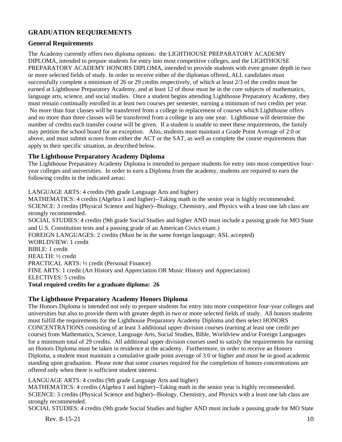#### <span id="page-9-0"></span>**GRADUATION REQUIREMENTS**

#### **General Requirements**

The Academy currently offers two diploma options: the LIGHTHOUSE PREPARATORY ACADEMY DIPLOMA, intended to prepare students for entry into most competitive colleges, and the LIGHTHOUSE PREPARATORY ACADEMY HONORS DIPLOMA, intended to provide students with even greater depth in two or more selected fields of study. In order to receive either of the diplomas offered, ALL candidates must successfully complete a minimum of 26 or 29 credits respectively, of which at least 2/3 of the credits must be earned at Lighthouse Preparatory Academy, and at least 12 of those must be in the core subjects of mathematics, language arts, science, and social studies. Once a student begins attending Lighthouse Preparatory Academy, they must remain continually enrolled in at least two courses per semester, earning a minimum of two credits per year. No more than four classes will be transferred from a college in replacement of courses which Lighthouse offers and no more than three classes will be transferred from a college in any one year. Lighthouse will determine the number of credits each transfer course will be given. If a student is unable to meet these requirements, the family may petition the school board for an exception. Also, students must maintain a Grade Point Average of 2.0 or above, and must submit scores from either the ACT or the SAT, as well as complete the course requirements that apply to their specific situation, as described below.

#### **The Lighthouse Preparatory Academy Diploma**

The Lighthouse Preparatory Academy Diploma is intended to prepare students for entry into most competitive fouryear colleges and universities. In order to earn a Diploma from the academy, students are required to earn the following credits in the indicated areas:

LANGUAGE ARTS: 4 credits (9th grade Language Arts and higher) MATHEMATICS: 4 credits (Algebra 1 and higher)--Taking math in the senior year is highly recommended. SCIENCE: 3 credits (Physical Science and higher)--Biology, Chemistry, and Physics with a least one lab class are strongly recommended. SOCIAL STUDIES: 4 credits (9th grade Social Studies and higher AND must include a passing grade for MO State and U.S. Constitution tests and a passing grade of an American Civics exam.) FOREIGN LANGUAGES: 2 credits (Must be in the same foreign language; ASL accepted) WORLDVIEW: 1 credit BIBLE: 1 credit HEALTH: ½ credit PRACTICAL ARTS: ½ credit (Personal Finance) FINE ARTS: 1 credit (Art History and Appreciation OR Music History and Appreciation) ELECTIVES: 5 credits

#### **Total required credits for a graduate diploma: 26**

#### **The Lighthouse Preparatory Academy Honors Diploma**

The Honors Diploma is intended not only to prepare students for entry into more competitive four-year colleges and universities but also to provide them with greater depth in two or more selected fields of study. All honors students must fulfill the requirements for the Lighthouse Preparatory Academy Diploma and then select HONORS CONCENTRATIONS consisting of at least 3 additional upper division courses (earning at least one credit per course) from Mathematics, Science, Language Arts, Social Studies, Bible, Worldview and/or Foreign Languages for a minimum total of 29 credits. All additional upper division courses used to satisfy the requirements for earning an Honors Diploma must be taken in residence at the academy. Furthermore, in order to receive an Honors Diploma, a student must maintain a cumulative grade point average of 3.0 or higher and must be in good academic standing upon graduation. Please note that some courses required for the completion of honors concentrations are offered only when there is sufficient student interest.

LANGUAGE ARTS: 4 credits (9th grade Language Arts and higher)

MATHEMATICS: 4 credits (Algebra 1 and higher)--Taking math in the senior year is highly recommended. SCIENCE: 3 credits (Physical Science and higher)--Biology, Chemistry, and Physics with a least one lab class are strongly recommended.

SOCIAL STUDIES: 4 credits (9th grade Social Studies and higher AND must include a passing grade for MO State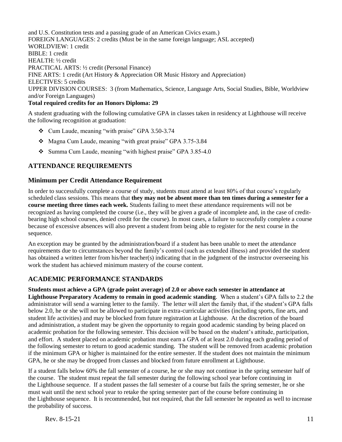and U.S. Constitution tests and a passing grade of an American Civics exam.) FOREIGN LANGUAGES: 2 credits (Must be in the same foreign language; ASL accepted) WORLDVIEW: 1 credit BIBLE: 1 credit HEALTH: ½ credit PRACTICAL ARTS: ½ credit (Personal Finance) FINE ARTS: 1 credit (Art History & Appreciation OR Music History and Appreciation) ELECTIVES: 5 credits UPPER DIVISION COURSES: 3 (from Mathematics, Science, Language Arts, Social Studies, Bible, Worldview and/or Foreign Languages) **Total required credits for an Honors Diploma: 29**

A student graduating with the following cumulative GPA in classes taken in residency at Lighthouse will receive the following recognition at graduation:

- ❖ Cum Laude, meaning "with praise" GPA 3.50-3.74
- ❖ Magna Cum Laude, meaning "with great praise" GPA 3.75-3.84
- ❖ Summa Cum Laude, meaning "with highest praise" GPA 3.85-4.0

#### <span id="page-10-0"></span>**ATTENDANCE REQUIREMENTS**

#### **Minimum per Credit Attendance Requirement**

In order to successfully complete a course of study, students must attend at least 80% of that course's regularly scheduled class sessions. This means that **they may not be absent more than ten times during a semester for a course meeting three times each week.** Students failing to meet these attendance requirements will not be recognized as having completed the course (i.e., they will be given a grade of incomplete and, in the case of creditbearing high school courses, denied credit for the course). In most cases, a failure to successfully complete a course because of excessive absences will also prevent a student from being able to register for the next course in the sequence.

An exception may be granted by the administration/board if a student has been unable to meet the attendance requirements due to circumstances beyond the family's control (such as extended illness) and provided the student has obtained a written letter from his/her teacher(s) indicating that in the judgment of the instructor overseeing his work the student has achieved minimum mastery of the course content.

#### <span id="page-10-1"></span>**ACADEMIC PERFORMANCE STANDARDS**

**Students must achieve a GPA (grade point average) of 2.0 or above each semester in attendance at Lighthouse Preparatory Academy to remain in good academic standing**. When a student's GPA falls to 2.2 the administrator will send a warning letter to the family. The letter will alert the family that, if the student's GPA falls below 2.0, he or she will not be allowed to participate in extra-curricular activities (including sports, fine arts, and student life activities) and may be blocked from future registration at Lighthouse. At the discretion of the board and administration, a student may be given the opportunity to regain good academic standing by being placed on academic probation for the following semester. This decision will be based on the student's attitude, participation, and effort. A student placed on academic probation must earn a GPA of at least 2.0 during each grading period of the following semester to return to good academic standing. The student will be removed from academic probation if the minimum GPA or higher is maintained for the entire semester. If the student does not maintain the minimum GPA, he or she may be dropped from classes and blocked from future enrollment at Lighthouse.

If a student falls below 60% the fall semester of a course, he or she may not continue in the spring semester half of the course. The student must repeat the fall semester during the following school year before continuing in the Lighthouse sequence. If a student passes the fall semester of a course but fails the spring semester, he or she must wait until the next school year to retake the spring semester part of the course before continuing in the Lighthouse sequence. It is recommended, but not required, that the fall semester be repeated as well to increase the probability of success.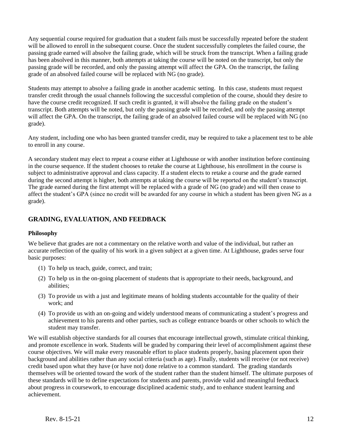Any sequential course required for graduation that a student fails must be successfully repeated before the student will be allowed to enroll in the subsequent course. Once the student successfully completes the failed course, the passing grade earned will absolve the failing grade, which will be struck from the transcript. When a failing grade has been absolved in this manner, both attempts at taking the course will be noted on the transcript, but only the passing grade will be recorded, and only the passing attempt will affect the GPA. On the transcript, the failing grade of an absolved failed course will be replaced with NG (no grade).

Students may attempt to absolve a failing grade in another academic setting. In this case, students must request transfer credit through the usual channels following the successful completion of the course, should they desire to have the course credit recognized. If such credit is granted, it will absolve the failing grade on the student's transcript. Both attempts will be noted, but only the passing grade will be recorded, and only the passing attempt will affect the GPA. On the transcript, the failing grade of an absolved failed course will be replaced with NG (no grade).

Any student, including one who has been granted transfer credit, may be required to take a placement test to be able to enroll in any course.

A secondary student may elect to repeat a course either at Lighthouse or with another institution before continuing in the course sequence. If the student chooses to retake the course at Lighthouse, his enrollment in the course is subject to administrative approval and class capacity. If a student elects to retake a course and the grade earned during the second attempt is higher, both attempts at taking the course will be reported on the student's transcript. The grade earned during the first attempt will be replaced with a grade of NG (no grade) and will then cease to affect the student's GPA (since no credit will be awarded for any course in which a student has been given NG as a grade).

#### <span id="page-11-0"></span>**GRADING, EVALUATION, AND FEEDBACK**

#### **Philosophy**

We believe that grades are not a commentary on the relative worth and value of the individual, but rather an accurate reflection of the quality of his work in a given subject at a given time. At Lighthouse, grades serve four basic purposes:

- (1) To help us teach, guide, correct, and train;
- (2) To help us in the on-going placement of students that is appropriate to their needs, background, and abilities;
- (3) To provide us with a just and legitimate means of holding students accountable for the quality of their work; and
- (4) To provide us with an on-going and widely understood means of communicating a student's progress and achievement to his parents and other parties, such as college entrance boards or other schools to which the student may transfer.

We will establish objective standards for all courses that encourage intellectual growth, stimulate critical thinking, and promote excellence in work. Students will be graded by comparing their level of accomplishment against these course objectives. We will make every reasonable effort to place students properly, basing placement upon their background and abilities rather than any social criteria (such as age). Finally, students will receive (or not receive) credit based upon what they have (or have not) done relative to a common standard. The grading standards themselves will be oriented toward the work of the student rather than the student himself. The ultimate purposes of these standards will be to define expectations for students and parents, provide valid and meaningful feedback about progress in coursework, to encourage disciplined academic study, and to enhance student learning and achievement.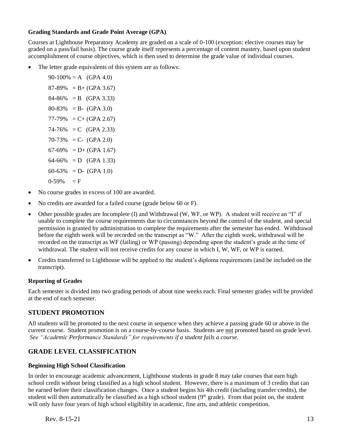#### **Grading Standards and Grade Point Average (GPA)**

Courses at Lighthouse Preparatory Academy are graded on a scale of 0-100 (exception: elective courses may be graded on a pass/fail basis). The course grade itself represents a percentage of content mastery, based upon student accomplishment of course objectives, which is then used to determine the grade value of individual courses.

• The letter grade equivalents of this system are as follows:

 $90-100\% = A$  (GPA 4.0)  $87-89\% = B + (GPA 3.67)$  $84-86\% = B$  (GPA 3.33)  $80-83\% = B - (GPA 3.0)$  $77-79\% = C + (GPA 2.67)$  $74-76\% = C$  (GPA 2.33)  $70-73\% = C - (GPA 2.0)$  $67-69\% = D + (GPA 1.67)$  $64-66\% = D$  (GPA 1.33)  $60-63\% = D - (GPA 1.0)$  $0-59\% = F$ 

- No course grades in excess of 100 are awarded.
- No credits are awarded for a failed course (grade below 60 or F).
- Other possible grades are Incomplete (I) and Withdrawal (W, WF, or WP). A student will receive an "I" if unable to complete the course requirements due to circumstances beyond the control of the student, and special permission is granted by administration to complete the requirements after the semester has ended. Withdrawal before the eighth week will be recorded on the transcript as "W." After the eighth week, withdrawal will be recorded on the transcript as WF (failing) or WP (passing) depending upon the student's grade at the time of withdrawal. The student will not receive credits for any course in which I, W, WF, or WP is earned.
- Credits transferred to Lighthouse will be applied to the student's diploma requirements (and be included on the transcript).

#### **Reporting of Grades**

Each semester is divided into two grading periods of about nine weeks each. Final semester grades will be provided at the end of each semester.

#### <span id="page-12-0"></span>**STUDENT PROMOTION**

All students will be promoted to the next course in sequence when they achieve a passing grade 60 or above in the current course. Student promotion is on a course-by-course basis. Students are not promoted based on grade level. *See "Academic Performance Standards" for requirements if a student fails a course.*

## <span id="page-12-1"></span>**GRADE LEVEL CLASSIFICATION**

#### **Beginning High School Classification**

In order to encourage academic advancement, Lighthouse students in grade 8 may take courses that earn high school credit without being classified as a high school student. However, there is a maximum of 3 credits that can be earned before their classification changes. Once a student begins his 4th credit (including transfer credits), the student will then automatically be classified as a high school student  $(9<sup>th</sup> \text{ grade})$ . From that point on, the student will only have four years of high school eligibility in academic, fine arts, and athletic competition.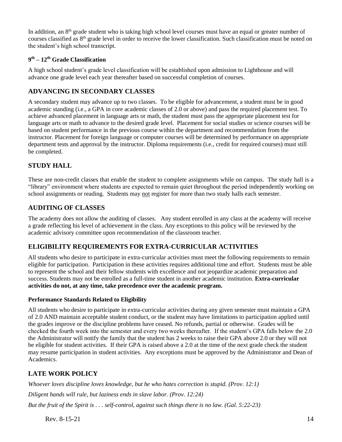In addition, an 8<sup>th</sup> grade student who is taking high school level courses must have an equal or greater number of courses classified as 8th grade level in order to receive the lower classification. Such classification must be noted on the student's high school transcript.

#### **9 th – 12th Grade Classification**

A high school student's grade level classification will be established upon admission to Lighthouse and will advance one grade level each year thereafter based on successful completion of courses.

#### <span id="page-13-0"></span>**ADVANCING IN SECONDARY CLASSES**

A secondary student may advance up to two classes. To be eligible for advancement, a student must be in good academic standing (i.e., a GPA in core academic classes of 2.0 or above) and pass the required placement test. To achieve advanced placement in language arts or math, the student must pass the appropriate placement test for language arts or math to advance to the desired grade level. Placement for social studies or science courses will be based on student performance in the previous course within the department and recommendation from the instructor. Placement for foreign language or computer courses will be determined by performance on appropriate department tests and approval by the instructor. Diploma requirements (i.e., credit for required courses) must still be completed.

## <span id="page-13-1"></span>**STUDY HALL**

These are non-credit classes that enable the student to complete assignments while on campus. The study hall is a "library" environment where students are expected to remain quiet throughout the period independently working on school assignments or reading. Students may not register for more than two study halls each semester.

## <span id="page-13-2"></span>**AUDITING OF CLASSES**

The academy does not allow the auditing of classes. Any student enrolled in any class at the academy will receive a grade reflecting his level of achievement in the class. Any exceptions to this policy will be reviewed by the academic advisory committee upon recommendation of the classroom teacher.

## <span id="page-13-3"></span>**ELIGIBILITY REQUIREMENTS FOR EXTRA-CURRICULAR ACTIVITIES**

All students who desire to participate in extra-curricular activities must meet the following requirements to remain eligible for participation. Participation in these activities requires additional time and effort. Students must be able to represent the school and their fellow students with excellence and not jeopardize academic preparation and success. Students may not be enrolled as a full-time student in another academic institution. **Extra-curricular activities do not, at any time, take precedence over the academic program.**

#### **Performance Standards Related to Eligibility**

All students who desire to participate in extra-curricular activities during any given semester must maintain a GPA of 2.0 AND maintain acceptable student conduct, or the student may have limitations to participation applied until the grades improve or the discipline problems have ceased. No refunds, partial or otherwise. Grades will be checked the fourth week into the semester and every two weeks thereafter. If the student's GPA falls below the 2.0 the Administrator will notify the family that the student has 2 weeks to raise their GPA above 2.0 or they will not be eligible for student activities. If their GPA is raised above a 2.0 at the time of the next grade check the student may resume participation in student activities. Any exceptions must be approved by the Administrator and Dean of Academics.

## <span id="page-13-4"></span>**LATE WORK POLICY**

*Whoever loves discipline loves knowledge, but he who hates correction is stupid. (Prov. 12:1) Diligent hands will rule, but laziness ends in slave labor. (Prov. 12:24) But the fruit of the Spirit is . . . self-control, against such things there is no law. (Gal. 5:22-23)*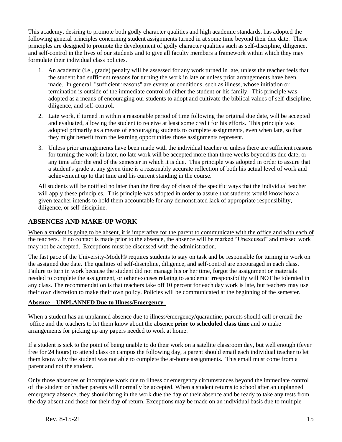This academy, desiring to promote both godly character qualities and high academic standards, has adopted the following general principles concerning student assignments turned in at some time beyond their due date. These principles are designed to promote the development of godly character qualities such as self-discipline, diligence, and self-control in the lives of our students and to give all faculty members a framework within which they may formulate their individual class policies.

- 1. An academic (i.e., grade) penalty will be assessed for any work turned in late, unless the teacher feels that the student had sufficient reasons for turning the work in late or unless prior arrangements have been made. In general, "sufficient reasons" are events or conditions, such as illness, whose initiation or termination is outside of the immediate control of either the student or his family. This principle was adopted as a means of encouraging our students to adopt and cultivate the biblical values of self-discipline, diligence, and self-control.
- 2. Late work, if turned in within a reasonable period of time following the original due date, will be accepted and evaluated, allowing the student to receive at least some credit for his efforts. This principle was adopted primarily as a means of encouraging students to complete assignments, even when late, so that they might benefit from the learning opportunities those assignments represent.
- 3. Unless prior arrangements have been made with the individual teacher or unless there are sufficient reasons for turning the work in later, no late work will be accepted more than three weeks beyond its due date, or any time after the end of the semester in which it is due. This principle was adopted in order to assure that a student's grade at any given time is a reasonably accurate reflection of both his actual level of work and achievement up to that time and his current standing in the course.

All students will be notified no later than the first day of class of the specific ways that the individual teacher will apply these principles. This principle was adopted in order to assure that students would know how a given teacher intends to hold them accountable for any demonstrated lack of appropriate responsibility, diligence, or self-discipline.

#### <span id="page-14-0"></span>**ABSENCES AND MAKE-UP WORK**

When a student is going to be absent, it is imperative for the parent to communicate with the office and with each of the teachers. If no contact is made prior to the absence, the absence will be marked "Unexcused" and missed work may not be accepted. Exceptions must be discussed with the administration.

The fast pace of the University-Model® requires students to stay on task and be responsible for turning in work on the assigned due date. The qualities of self-discipline, diligence, and self-control are encouraged in each class. Failure to turn in work because the student did not manage his or her time, forgot the assignment or materials needed to complete the assignment, or other excuses relating to academic irresponsibility will NOT be tolerated in any class. The recommendation is that teachers take off 10 percent for each day work is late, but teachers may use their own discretion to make their own policy. Policies will be communicated at the beginning of the semester.

#### **Absence – UNPLANNED Due to Illness/Emergency**

When a student has an unplanned absence due to illness/emergency/quarantine, parents should call or email the office and the teachers to let them know about the absence **prior to scheduled class time** and to make arrangements for picking up any papers needed to work at home.

If a student is sick to the point of being unable to do their work on a satellite classroom day, but well enough (fever free for 24 hours) to attend class on campus the following day, a parent should email each individual teacher to let them know why the student was not able to complete the at-home assignments. This email must come from a parent and not the student.

Only those absences or incomplete work due to illness or emergency circumstances beyond the immediate control of the student or his/her parents will normally be accepted. When a student returns to school after an unplanned emergency absence, they should bring in the work due the day of their absence and be ready to take any tests from the day absent and those for their day of return. Exceptions may be made on an individual basis due to multiple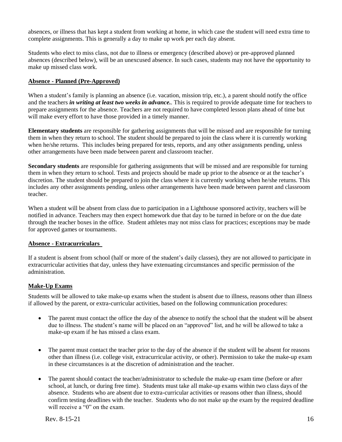absences, or illness that has kept a student from working at home, in which case the student will need extra time to complete assignments. This is generally a day to make up work per each day absent.

Students who elect to miss class, not due to illness or emergency (described above) or pre-approved planned absences (described below), will be an unexcused absence. In such cases, students may not have the opportunity to make up missed class work.

#### **Absence - Planned (Pre-Approved)**

When a student's family is planning an absence (i.e. vacation, mission trip, etc.), a parent should notify the office and the teachers *in writing at least two weeks in advance.*. This is required to provide adequate time for teachers to prepare assignments for the absence. Teachers are not required to have completed lesson plans ahead of time but will make every effort to have those provided in a timely manner.

**Elementary students** are responsible for gathering assignments that will be missed and are responsible for turning them in when they return to school. The student should be prepared to join the class where it is currently working when he/she returns. This includes being prepared for tests, reports, and any other assignments pending, unless other arrangements have been made between parent and classroom teacher.

**Secondary students** are responsible for gathering assignments that will be missed and are responsible for turning them in when they return to school. Tests and projects should be made up prior to the absence or at the teacher's discretion. The student should be prepared to join the class where it is currently working when he/she returns. This includes any other assignments pending, unless other arrangements have been made between parent and classroom teacher.

When a student will be absent from class due to participation in a Lighthouse sponsored activity, teachers will be notified in advance. Teachers may then expect homework due that day to be turned in before or on the due date through the teacher boxes in the office. Student athletes may not miss class for practices; exceptions may be made for approved games or tournaments.

#### **Absence - Extracurriculars**

If a student is absent from school (half or more of the student's daily classes), they are not allowed to participate in extracurricular activities that day, unless they have extenuating circumstances and specific permission of the administration.

#### **Make-Up Exams**

Students will be allowed to take make-up exams when the student is absent due to illness, reasons other than illness if allowed by the parent, or extra-curricular activities, based on the following communication procedures:

- The parent must contact the office the day of the absence to notify the school that the student will be absent due to illness. The student's name will be placed on an "approved" list, and he will be allowed to take a make-up exam if he has missed a class exam.
- The parent must contact the teacher prior to the day of the absence if the student will be absent for reasons other than illness (i.e. college visit, extracurricular activity, or other). Permission to take the make-up exam in these circumstances is at the discretion of administration and the teacher.
- The parent should contact the teacher/administrator to schedule the make-up exam time (before or after school, at lunch, or during free time). Students must take all make-up exams within two class days of the absence. Students who are absent due to extra-curricular activities or reasons other than illness, should confirm testing deadlines with the teacher. Students who do not make up the exam by the required deadline will receive a "0" on the exam.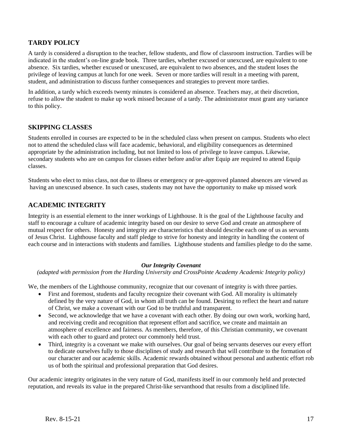## <span id="page-16-0"></span>**TARDY POLICY**

A tardy is considered a disruption to the teacher, fellow students, and flow of classroom instruction. Tardies will be indicated in the student's on-line grade book. Three tardies, whether excused or unexcused, are equivalent to one absence. Six tardies, whether excused or unexcused, are equivalent to two absences, and the student loses the privilege of leaving campus at lunch for one week. Seven or more tardies will result in a meeting with parent, student, and administration to discuss further consequences and strategies to prevent more tardies.

In addition, a tardy which exceeds twenty minutes is considered an absence. Teachers may, at their discretion, refuse to allow the student to make up work missed because of a tardy. The administrator must grant any variance to this policy.

#### <span id="page-16-1"></span>**SKIPPING CLASSES**

Students enrolled in courses are expected to be in the scheduled class when present on campus. Students who elect not to attend the scheduled class will face academic, behavioral, and eligibility consequences as determined appropriate by the administration including, but not limited to loss of privilege to leave campus. Likewise, secondary students who are on campus for classes either before and/or after Equip are required to attend Equip classes.

Students who elect to miss class, not due to illness or emergency or pre-approved planned absences are viewed as having an unexcused absence. In such cases, students may not have the opportunity to make up missed work

#### <span id="page-16-2"></span>**ACADEMIC INTEGRITY**

Integrity is an essential element to the inner workings of Lighthouse. It is the goal of the Lighthouse faculty and staff to encourage a culture of academic integrity based on our desire to serve God and create an atmosphere of mutual respect for others. Honesty and integrity are characteristics that should describe each one of us as servants of Jesus Christ. Lighthouse faculty and staff pledge to strive for honesty and integrity in handling the content of each course and in interactions with students and families. Lighthouse students and families pledge to do the same.

#### *Our Integrity Covenant*

*(adapted with permission from the Harding University and CrossPointe Academy Academic Integrity policy)*

We, the members of the Lighthouse community, recognize that our covenant of integrity is with three parties.

- First and foremost, students and faculty recognize their covenant with God. All morality is ultimately defined by the very nature of God, in whom all truth can be found. Desiring to reflect the heart and nature of Christ, we make a covenant with our God to be truthful and transparent.
- Second, we acknowledge that we have a covenant with each other. By doing our own work, working hard, and receiving credit and recognition that represent effort and sacrifice, we create and maintain an atmosphere of excellence and fairness. As members, therefore, of this Christian community, we covenant with each other to guard and protect our commonly held trust.
- Third, integrity is a covenant we make with ourselves. Our goal of being servants deserves our every effort to dedicate ourselves fully to those disciplines of study and research that will contribute to the formation of our character and our academic skills. Academic rewards obtained without personal and authentic effort rob us of both the spiritual and professional preparation that God desires.

Our academic integrity originates in the very nature of God, manifests itself in our commonly held and protected reputation, and reveals its value in the prepared Christ-like servanthood that results from a disciplined life.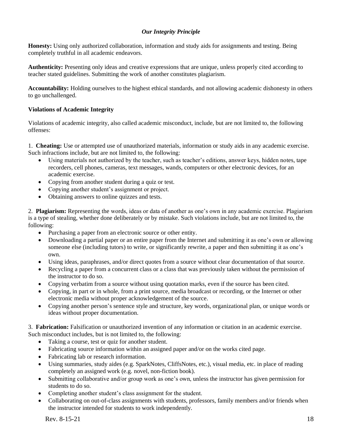#### *Our Integrity Principle*

**Honesty:** Using only authorized collaboration, information and study aids for assignments and testing. Being completely truthful in all academic endeavors.

**Authenticity:** Presenting only ideas and creative expressions that are unique, unless properly cited according to teacher stated guidelines. Submitting the work of another constitutes plagiarism.

**Accountability:** Holding ourselves to the highest ethical standards, and not allowing academic dishonesty in others to go unchallenged.

#### **Violations of Academic Integrity**

Violations of academic integrity, also called academic misconduct, include, but are not limited to, the following offenses:

1. **Cheating:** Use or attempted use of unauthorized materials, information or study aids in any academic exercise. Such infractions include, but are not limited to, the following:

- Using materials not authorized by the teacher, such as teacher's editions, answer keys, hidden notes, tape recorders, cell phones, cameras, text messages, wands, computers or other electronic devices, for an academic exercise.
- Copying from another student during a quiz or test.
- Copying another student's assignment or project.
- Obtaining answers to online quizzes and tests.

2. **Plagiarism:** Representing the words, ideas or data of another as one's own in any academic exercise. Plagiarism is a type of stealing, whether done deliberately or by mistake. Such violations include, but are not limited to, the following:

- Purchasing a paper from an electronic source or other entity.
- Downloading a partial paper or an entire paper from the Internet and submitting it as one's own or allowing someone else (including tutors) to write, or significantly rewrite, a paper and then submitting it as one's own.
- Using ideas, paraphrases, and/or direct quotes from a source without clear documentation of that source.
- Recycling a paper from a concurrent class or a class that was previously taken without the permission of the instructor to do so.
- Copying verbatim from a source without using quotation marks, even if the source has been cited.
- Copying, in part or in whole, from a print source, media broadcast or recording, or the Internet or other electronic media without proper acknowledgement of the source.
- Copying another person's sentence style and structure, key words, organizational plan, or unique words or ideas without proper documentation.

3. **Fabrication:** Falsification or unauthorized invention of any information or citation in an academic exercise. Such misconduct includes, but is not limited to, the following:

- Taking a course, test or quiz for another student.
- Fabricating source information within an assigned paper and/or on the works cited page.
- Fabricating lab or research information.
- Using summaries, study aides (e.g. SparkNotes, CliffsNotes, etc.), visual media, etc. in place of reading completely an assigned work (e.g. novel, non-fiction book).
- Submitting collaborative and/or group work as one's own, unless the instructor has given permission for students to do so.
- Completing another student's class assignment for the student.
- Collaborating on out-of-class assignments with students, professors, family members and/or friends when the instructor intended for students to work independently.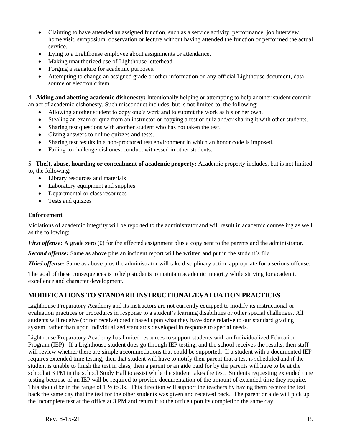- Claiming to have attended an assigned function, such as a service activity, performance, job interview, home visit, symposium, observation or lecture without having attended the function or performed the actual service.
- Lying to a Lighthouse employee about assignments or attendance.
- Making unauthorized use of Lighthouse letterhead.
- Forging a signature for academic purposes.
- Attempting to change an assigned grade or other information on any official Lighthouse document, data source or electronic item.

4. **Aiding and abetting academic dishonesty:** Intentionally helping or attempting to help another student commit an act of academic dishonesty. Such misconduct includes, but is not limited to, the following:

- Allowing another student to copy one's work and to submit the work as his or her own.
- Stealing an exam or quiz from an instructor or copying a test or quiz and/or sharing it with other students.
- Sharing test questions with another student who has not taken the test.
- Giving answers to online quizzes and tests.
- Sharing test results in a non-proctored test environment in which an honor code is imposed.
- Failing to challenge dishonest conduct witnessed in other students.

5. **Theft, abuse, hoarding or concealment of academic property:** Academic property includes, but is not limited to, the following:

- Library resources and materials
- Laboratory equipment and supplies
- Departmental or class resources
- Tests and quizzes

#### **Enforcement**

Violations of academic integrity will be reported to the administrator and will result in academic counseling as well as the following:

*First offense:* A grade zero (0) for the affected assignment plus a copy sent to the parents and the administrator.

*Second offense:* Same as above plus an incident report will be written and put in the student's file.

*Third offense:* Same as above plus the administrator will take disciplinary action appropriate for a serious offense.

The goal of these consequences is to help students to maintain academic integrity while striving for academic excellence and character development.

#### <span id="page-18-0"></span>**MODIFICATIONS TO STANDARD INSTRUCTIONAL/EVALUATION PRACTICES**

Lighthouse Preparatory Academy and its instructors are not currently equipped to modify its instructional or evaluation practices or procedures in response to a student's learning disabilities or other special challenges. All students will receive (or not receive) credit based upon what they have done relative to our standard grading system, rather than upon individualized standards developed in response to special needs.

Lighthouse Preparatory Academy has limited resources to support students with an Individualized Education Program (IEP). If a Lighthouse student does go through IEP testing, and the school receives the results, then staff will review whether there are simple accommodations that could be supported. If a student with a documented IEP requires extended time testing, then that student will have to notify their parent that a test is scheduled and if the student is unable to finish the test in class, then a parent or an aide paid for by the parents will have to be at the school at 3 PM in the school Study Hall to assist while the student takes the test. Students requesting extended time testing because of an IEP will be required to provide documentation of the amount of extended time they require. This should be in the range of 1 ½ to 3x. This direction will support the teachers by having them receive the test back the same day that the test for the other students was given and received back. The parent or aide will pick up the incomplete test at the office at 3 PM and return it to the office upon its completion the same day.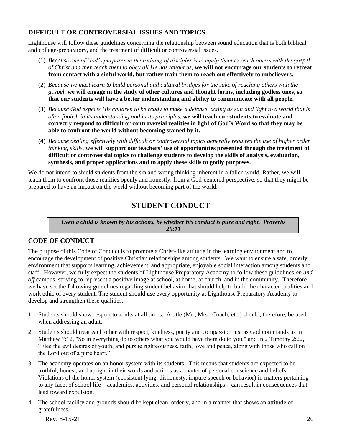### <span id="page-19-0"></span>**DIFFICULT OR CONTROVERSIAL ISSUES AND TOPICS**

Lighthouse will follow these guidelines concerning the relationship between sound education that is both biblical and college-preparatory, and the treatment of difficult or controversial issues.

- (1) *Because one of God's purposes in the training of disciples is to equip them to reach others with the gospel of Christ and then teach them to obey all He has taught us,* **we will not encourage our students to retreat from contact with a sinful world, but rather train them to reach out effectively to unbelievers.**
- (2) *Because we must learn to build personal and cultural bridges for the sake of reaching others with the gospel,* **we will engage in the study of other cultures and thought forms, including godless ones, so that our students will have a better understanding and ability to communicate with all people.**
- (3) *Because God expects His children to be ready to make a defense, acting as salt and light to a world that is often foolish in its understanding and in its principles,* **we will teach our students to evaluate and correctly respond to difficult or controversial realities in light of God's Word so that they may be able to confront the world without becoming stained by it.**
- (4) *Because dealing effectively with difficult or controversial topics generally requires the use of higher order thinking skills,* **we will support our teachers' use of opportunities presented through the treatment of difficult or controversial topics to challenge students to develop the skills of analysis, evaluation, synthesis, and proper applications and to apply these skills to godly purposes.**

<span id="page-19-1"></span>We do not intend to shield students from the sin and wrong thinking inherent in a fallen world. Rather, we will teach them to confront those realities openly and honestly, from a God-centered perspective, so that they might be prepared to have an impact on the world without becoming part of the world.

## **STUDENT CONDUCT**

*Even a child is known by his actions, by whether his conduct is pure and right. Proverbs 20:11*

## <span id="page-19-2"></span>**CODE OF CONDUCT**

The purpose of this Code of Conduct is to promote a Christ-like attitude in the learning environment and to encourage the development of positive Christian relationships among students. We want to ensure a safe, orderly environment that supports learning, achievement, and appropriate, enjoyable social interaction among students and staff. However, we fully expect the students of Lighthouse Preparatory Academy to follow these guidelines *on and off* campus, striving to represent a positive image at school, at home, at church, and in the community. Therefore, we have set the following guidelines regarding student behavior that should help to build the character qualities and work ethic of every student. The student should use every opportunity at Lighthouse Preparatory Academy to develop and strengthen these qualities.

- 1. Students should show respect to adults at all times. A title (Mr., Mrs., Coach, etc.) should, therefore, be used when addressing an adult.
- 2. Students should treat each other with respect, kindness, purity and compassion just as God commands us in Matthew 7:12, "So in everything do to others what you would have them do to you," and in 2 Timothy 2:22, "Flee the evil desires of youth, and pursue righteousness, faith, love and peace, along with those who call on the Lord out of a pure heart."
- 3. The academy operates on an honor system with its students. This means that students are expected to be truthful, honest, and upright in their words and actions as a matter of personal conscience and beliefs. Violations of the honor system (consistent lying, dishonesty, impure speech or behavior) in matters pertaining to any facet of school life – academics, activities, and personal relationships – can result in consequences that lead toward expulsion.
- 4. The school facility and grounds should be kept clean, orderly, and in a manner that shows an attitude of gratefulness.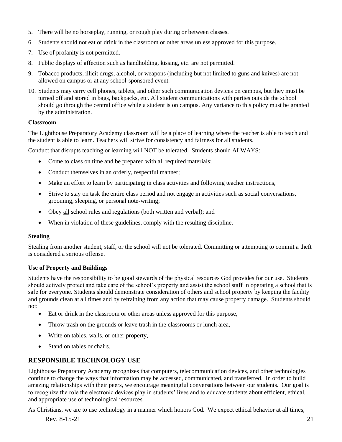- 5. There will be no horseplay, running, or rough play during or between classes.
- 6. Students should not eat or drink in the classroom or other areas unless approved for this purpose.
- 7. Use of profanity is not permitted.
- 8. Public displays of affection such as handholding, kissing, etc. are not permitted.
- 9. Tobacco products, illicit drugs, alcohol, or weapons (including but not limited to guns and knives) are not allowed on campus or at any school-sponsored event.
- 10. Students may carry cell phones, tablets, and other such communication devices on campus, but they must be turned off and stored in bags, backpacks, etc. All student communications with parties outside the school should go through the central office while a student is on campus. Any variance to this policy must be granted by the administration.

#### **Classroom**

The Lighthouse Preparatory Academy classroom will be a place of learning where the teacher is able to teach and the student is able to learn. Teachers will strive for consistency and fairness for all students.

Conduct that disrupts teaching or learning will NOT be tolerated. Students should ALWAYS:

- Come to class on time and be prepared with all required materials;
- Conduct themselves in an orderly, respectful manner;
- Make an effort to learn by participating in class activities and following teacher instructions,
- Strive to stay on task the entire class period and not engage in activities such as social conversations, grooming, sleeping, or personal note-writing;
- Obey all school rules and regulations (both written and verbal); and
- When in violation of these guidelines, comply with the resulting discipline.

#### **Stealing**

Stealing from another student, staff, or the school will not be tolerated. Committing or attempting to commit a theft is considered a serious offense.

#### **Use of Property and Buildings**

Students have the responsibility to be good stewards of the physical resources God provides for our use. Students should actively protect and take care of the school's property and assist the school staff in operating a school that is safe for everyone. Students should demonstrate consideration of others and school property by keeping the facility and grounds clean at all times and by refraining from any action that may cause property damage. Students should not:

- Eat or drink in the classroom or other areas unless approved for this purpose,
- Throw trash on the grounds or leave trash in the classrooms or lunch area,
- Write on tables, walls, or other property,
- Stand on tables or chairs.

#### <span id="page-20-0"></span>**RESPONSIBLE TECHNOLOGY USE**

Lighthouse Preparatory Academy recognizes that computers, telecommunication devices, and other technologies continue to change the ways that information may be accessed, communicated, and transferred. In order to build amazing relationships with their peers, we encourage meaningful conversations between our students. Our goal is to recognize the role the electronic devices play in students' lives and to educate students about efficient, ethical, and appropriate use of technological resources.

As Christians, we are to use technology in a manner which honors God. We expect ethical behavior at all times,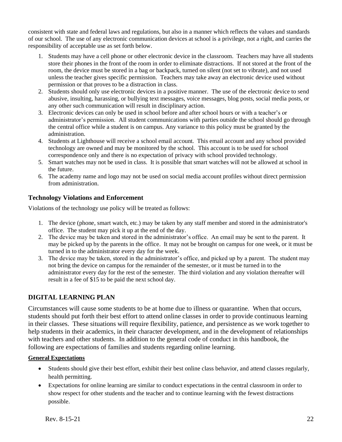consistent with state and federal laws and regulations, but also in a manner which reflects the values and standards of our school. The use of any electronic communication devices at school is a privilege, not a right, and carries the responsibility of acceptable use as set forth below.

- 1. Students may have a cell phone or other electronic device in the classroom. Teachers may have all students store their phones in the front of the room in order to eliminate distractions. If not stored at the front of the room, the device must be stored in a bag or backpack, turned on silent (not set to vibrate), and not used unless the teacher gives specific permission. Teachers may take away an electronic device used without permission or that proves to be a distraction in class.
- 2. Students should only use electronic devices in a positive manner. The use of the electronic device to send abusive, insulting, harassing, or bullying text messages, voice messages, blog posts, social media posts, or any other such communication will result in disciplinary action.
- 3. Electronic devices can only be used in school before and after school hours or with a teacher's or administrator's permission. All student communications with parties outside the school should go through the central office while a student is on campus. Any variance to this policy must be granted by the administration.
- 4. Students at Lighthouse will receive a school email account. This email account and any school provided technology are owned and may be monitored by the school. This account is to be used for school correspondence only and there is no expectation of privacy with school provided technology.
- 5. Smart watches may not be used in class. It is possible that smart watches will not be allowed at school in the future.
- 6. The academy name and logo may not be used on social media account profiles without direct permission from administration.

#### **Technology Violations and Enforcement**

Violations of the technology use policy will be treated as follows:

- 1. The device (phone, smart watch, etc.) may be taken by any staff member and stored in the administrator's office. The student may pick it up at the end of the day.
- 2. The device may be taken and stored in the administrator's office. An email may be sent to the parent. It may be picked up by the parents in the office. It may not be brought on campus for one week, or it must be turned in to the administrator every day for the week.
- 3. The device may be taken, stored in the administrator's office, and picked up by a parent. The student may not bring the device on campus for the remainder of the semester, or it must be turned in to the administrator every day for the rest of the semester. The third violation and any violation thereafter will result in a fee of \$15 to be paid the next school day.

## <span id="page-21-0"></span>**DIGITAL LEARNING PLAN**

Circumstances will cause some students to be at home due to illness or quarantine. When that occurs, students should put forth their best effort to attend online classes in order to provide continuous learning in their classes. These situations will require flexibility, patience, and persistence as we work together to help students in their academics, in their character development, and in the development of relationships with teachers and other students. In addition to the general code of conduct in this handbook, the following are expectations of families and students regarding online learning.

#### **General Expectations**

- Students should give their best effort, exhibit their best online class behavior, and attend classes regularly, health permitting.
- Expectations for online learning are similar to conduct expectations in the central classroom in order to show respect for other students and the teacher and to continue learning with the fewest distractions possible.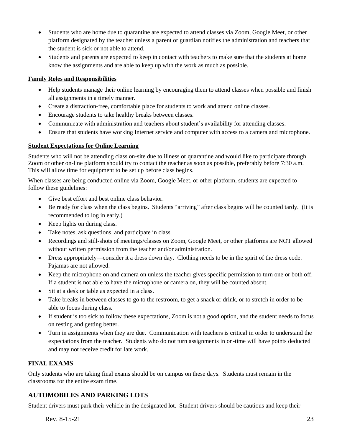- Students who are home due to quarantine are expected to attend classes via Zoom, Google Meet, or other platform designated by the teacher unless a parent or guardian notifies the administration and teachers that the student is sick or not able to attend.
- Students and parents are expected to keep in contact with teachers to make sure that the students at home know the assignments and are able to keep up with the work as much as possible.

#### **Family Roles and Responsibilities**

- Help students manage their online learning by encouraging them to attend classes when possible and finish all assignments in a timely manner.
- Create a distraction-free, comfortable place for students to work and attend online classes.
- Encourage students to take healthy breaks between classes.
- Communicate with administration and teachers about student's availability for attending classes.
- Ensure that students have working Internet service and computer with access to a camera and microphone.

#### **Student Expectations for Online Learning**

Students who will not be attending class on-site due to illness or quarantine and would like to participate through Zoom or other on-line platform should try to contact the teacher as soon as possible, preferably before 7:30 a.m. This will allow time for equipment to be set up before class begins.

When classes are being conducted online via Zoom, Google Meet, or other platform, students are expected to follow these guidelines:

- Give best effort and best online class behavior.
- Be ready for class when the class begins. Students "arriving" after class begins will be counted tardy. (It is recommended to log in early.)
- Keep lights on during class.
- Take notes, ask questions, and participate in class.
- Recordings and still-shots of meetings/classes on Zoom, Google Meet, or other platforms are NOT allowed without written permission from the teacher and/or administration.
- Dress appropriately—consider it a dress down day. Clothing needs to be in the spirit of the dress code. Pajamas are not allowed.
- Keep the microphone on and camera on unless the teacher gives specific permission to turn one or both off. If a student is not able to have the microphone or camera on, they will be counted absent.
- Sit at a desk or table as expected in a class.
- Take breaks in between classes to go to the restroom, to get a snack or drink, or to stretch in order to be able to focus during class.
- If student is too sick to follow these expectations, Zoom is not a good option, and the student needs to focus on resting and getting better.
- Turn in assignments when they are due. Communication with teachers is critical in order to understand the expectations from the teacher. Students who do not turn assignments in on-time will have points deducted and may not receive credit for late work.

#### **FINAL EXAMS**

Only students who are taking final exams should be on campus on these days. Students must remain in the classrooms for the entire exam time.

#### <span id="page-22-0"></span>**AUTOMOBILES AND PARKING LOTS**

Student drivers must park their vehicle in the designated lot. Student drivers should be cautious and keep their

Rev. 8-15-21 23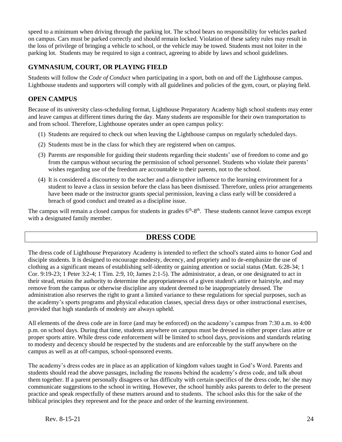speed to a minimum when driving through the parking lot. The school bears no responsibility for vehicles parked on campus. Cars must be parked correctly and should remain locked. Violation of these safety rules may result in the loss of privilege of bringing a vehicle to school, or the vehicle may be towed. Students must not loiter in the parking lot. Students may be required to sign a contract, agreeing to abide by laws and school guidelines.

#### <span id="page-23-0"></span>**GYMNASIUM, COURT, OR PLAYING FIELD**

Students will follow the *Code of Conduct* when participating in a sport, both on and off the Lighthouse campus. Lighthouse students and supporters will comply with all guidelines and policies of the gym, court, or playing field.

#### <span id="page-23-1"></span>**OPEN CAMPUS**

Because of its university class-scheduling format, Lighthouse Preparatory Academy high school students may enter and leave campus at different times during the day. Many students are responsible for their own transportation to and from school. Therefore, Lighthouse operates under an open campus policy:

- (1) Students are required to check out when leaving the Lighthouse campus on regularly scheduled days.
- (2) Students must be in the class for which they are registered when on campus.
- (3) Parents are responsible for guiding their students regarding their students' use of freedom to come and go from the campus without securing the permission of school personnel. Students who violate their parents' wishes regarding use of the freedom are accountable to their parents, not to the school.
- (4) It is considered a discourtesy to the teacher and a disruptive influence to the learning environment for a student to leave a class in session before the class has been dismissed. Therefore, unless prior arrangements have been made or the instructor grants special permission, leaving a class early will be considered a breach of good conduct and treated as a discipline issue.

<span id="page-23-2"></span>The campus will remain a closed campus for students in grades  $6<sup>th</sup>-8<sup>th</sup>$ . These students cannot leave campus except with a designated family member.

## **DRESS CODE**

The dress code of Lighthouse Preparatory Academy is intended to reflect the school's stated aims to honor God and disciple students. It is designed to encourage modesty, decency, and propriety and to de-emphasize the use of clothing as a significant means of establishing self-identity or gaining attention or social status (Matt. 6:28-34; 1 Cor. 9:19-23; 1 Peter 3:2-4; 1 Tim. 2:9, 10; James 2:1-5). The administrator, a dean, or one designated to act in their stead, retains the authority to determine the appropriateness of a given student's attire or hairstyle, and may remove from the campus or otherwise discipline any student deemed to be inappropriately dressed. The administration also reserves the right to grant a limited variance to these regulations for special purposes, such as the academy's sports programs and physical education classes, special dress days or other instructional exercises, provided that high standards of modesty are always upheld.

All elements of the dress code are in force (and may be enforced) on the academy's campus from 7:30 a.m. to 4:00 p.m. on school days. During that time, students anywhere on campus must be dressed in either proper class attire or proper sports attire. While dress code enforcement will be limited to school days, provisions and standards relating to modesty and decency should be respected by the students and are enforceable by the staff anywhere on the campus as well as at off-campus, school-sponsored events.

The academy's dress codes are in place as an application of kingdom values taught in God's Word. Parents and students should read the above passages, including the reasons behind the academy's dress code, and talk about them together. If a parent personally disagrees or has difficulty with certain specifics of the dress code, he/ she may communicate suggestions to the school in writing. However, the school humbly asks parents to defer to the present practice and speak respectfully of these matters around and to students. The school asks this for the sake of the biblical principles they represent and for the peace and order of the learning environment.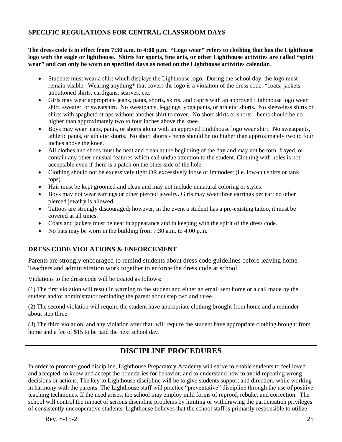## <span id="page-24-0"></span>**SPECIFIC REGULATIONS FOR CENTRAL CLASSROOM DAYS**

**The dress code is in effect from 7:30 a.m. to 4:00 p.m. "Logo wear" refers to clothing that has the Lighthouse logo with the eagle or lighthouse. Shirts for sports, fine arts, or other Lighthouse activities are called "spirit wear" and can only be worn on specified days as noted on the Lighthouse activities calendar.** 

- Students must wear a shirt which displays the Lighthouse logo. During the school day, the logo must remain visible. Wearing anything\* that covers the logo is a violation of the dress code. \*coats, jackets, unbuttoned shirts, cardigans, scarves, etc.
- Girls may wear appropriate jeans, pants, shorts, skirts, and capris with an approved Lighthouse logo wear shirt, sweater, or sweatshirt. No sweatpants, leggings, yoga pants, or athletic shorts. No sleeveless shirts or shirts with spaghetti straps without another shirt to cover. No short skirts or shorts - hems should be no higher than approximately two to four inches above the knee.
- Boys may wear jeans, pants, or shorts along with an approved Lighthouse logo wear shirt. No sweatpants, athletic pants, or athletic shorts. No short shorts - hems should be no higher than approximately two to four inches above the knee.
- All clothes and shoes must be neat and clean at the beginning of the day and may not be torn, frayed, or contain any other unusual features which call undue attention to the student. Clothing with holes is not acceptable even if there is a patch on the other side of the hole.
- Clothing should not be excessively tight OR excessively loose or immodest (i.e. low-cut shirts or tank tops).
- Hair must be kept groomed and clean and may not include unnatural coloring or styles.
- Boys may not wear earrings or other pierced jewelry. Girls may wear three earrings per ear; no other pierced jewelry is allowed.
- Tattoos are strongly discouraged; however, in the event a student has a pre-existing tattoo, it must be covered at all times.
- Coats and jackets must be neat in appearance and in keeping with the spirit of the dress code.
- No hats may be worn in the building from 7:30 a.m. to 4:00 p.m.

#### <span id="page-24-1"></span>**DRESS CODE VIOLATIONS & ENFORCEMENT**

Parents are strongly encouraged to remind students about dress code guidelines before leaving home. Teachers and administration work together to enforce the dress code at school.

Violations to the dress code will be treated as follows:

(1) The first violation will result in warning to the student and either an email sent home or a call made by the student and/or administrator reminding the parent about step two and three.

(2) The second violation will require the student have appropriate clothing brought from home and a reminder about step three.

<span id="page-24-2"></span>(3) The third violation, and any violation after that, will require the student have appropriate clothing brought from home and a fee of \$15 to be paid the next school day.

## **DISCIPLINE PROCEDURES**

In order to promote good discipline, Lighthouse Preparatory Academy will strive to enable students to feel loved and accepted, to know and accept the boundaries for behavior, and to understand how to avoid repeating wrong decisions or actions. The key to Lighthouse discipline will be to give students support and direction, while working in harmony with the parents. The Lighthouse staff will practice "preventative" discipline through the use of positive teaching techniques. If the need arises, the school may employ mild forms of reproof, rebuke, and correction. The school will control the impact of serious discipline problems by limiting or withdrawing the participation privileges of consistently uncooperative students. Lighthouse believes that the school staff is primarily responsible to utilize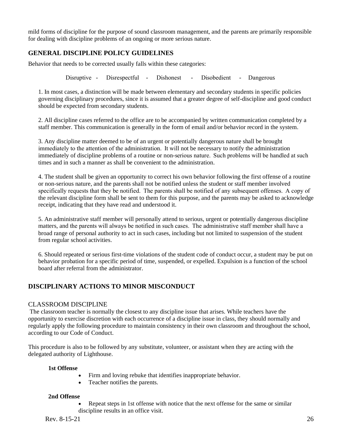mild forms of discipline for the purpose of sound classroom management, and the parents are primarily responsible for dealing with discipline problems of an ongoing or more serious nature.

#### <span id="page-25-0"></span>**GENERAL DISCIPLINE POLICY GUIDELINES**

Behavior that needs to be corrected usually falls within these categories:

Disruptive - Disrespectful - Dishonest - Disobedient - Dangerous

1. In most cases, a distinction will be made between elementary and secondary students in specific policies governing disciplinary procedures, since it is assumed that a greater degree of self-discipline and good conduct should be expected from secondary students.

2. All discipline cases referred to the office are to be accompanied by written communication completed by a staff member. This communication is generally in the form of email and/or behavior record in the system.

3. Any discipline matter deemed to be of an urgent or potentially dangerous nature shall be brought immediately to the attention of the administration.  It will not be necessary to notify the administration immediately of discipline problems of a routine or non-serious nature.  Such problems will be handled at such times and in such a manner as shall be convenient to the administration.

4. The student shall be given an opportunity to correct his own behavior following the first offense of a routine or non-serious nature, and the parents shall not be notified unless the student or staff member involved specifically requests that they be notified.  The parents shall be notified of any subsequent offenses.  A copy of the relevant discipline form shall be sent to them for this purpose, and the parents may be asked to acknowledge receipt, indicating that they have read and understood it.

5. An administrative staff member will personally attend to serious, urgent or potentially dangerous discipline matters, and the parents will always be notified in such cases.  The administrative staff member shall have a broad range of personal authority to act in such cases, including but not limited to suspension of the student from regular school activities.

6. Should repeated or serious first-time violations of the student code of conduct occur, a student may be put on behavior probation for a specific period of time, suspended, or expelled. Expulsion is a function of the school board after referral from the administrator.

#### <span id="page-25-1"></span>**DISCIPLINARY ACTIONS TO MINOR MISCONDUCT**

#### CLASSROOM DISCIPLINE

The classroom teacher is normally the closest to any discipline issue that arises. While teachers have the opportunity to exercise discretion with each occurrence of a discipline issue in class, they should normally and regularly apply the following procedure to maintain consistency in their own classroom and throughout the school, according to our Code of Conduct.

This procedure is also to be followed by any substitute, volunteer, or assistant when they are acting with the delegated authority of Lighthouse.

#### **1st Offense**

- Firm and loving rebuke that identifies inappropriate behavior.
- Teacher notifies the parents.

#### **2nd Offense**

• Repeat steps in 1st offense with notice that the next offense for the same or similar discipline results in an office visit.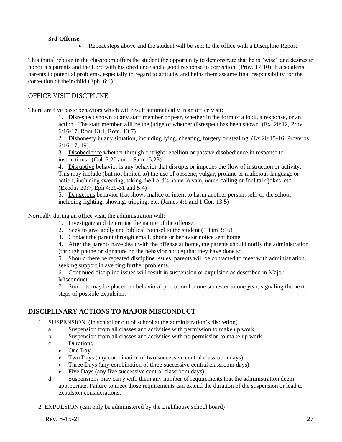#### **3rd Offense**

• Repeat steps above and the student will be sent to the office with a Discipline Report.

This initial rebuke in the classroom offers the student the opportunity to demonstrate that he is "wise" and desires to honor his parents and the Lord with his obedience and a good response to correction. (Prov. 17:10). It also alerts parents to potential problems, especially in regard to attitude, and helps them assume final responsibility for the correction of their child (Eph. 6:4).

#### OFFICE VISIT DISCIPLINE

There are five basic behaviors which will result automatically in an office visit:

1. Disrespect shown to any staff member or peer, whether in the form of a look, a response, or an action. The staff member will be the judge of whether disrespect has been shown. (Ex. 20:12, Prov. 6:16-17, Rom 13:1, Rom. 13:7)

2. Dishonesty in any situation, including lying, cheating, forgery or stealing. (Ex 20:15-16, Proverbs 6:16-17, 19)

3. Disobedience whether through outright rebellion or passive disobedience in response to instructions. (Col. 3:20 and 1 Sam 15:23)

4. Disruptive behavior is any behavior that disrupts or impedes the flow of instruction or activity. This may include (but not limited to) the use of obscene, vulgar, profane or malicious language or action, including swearing, taking the Lord's name in vain, name-calling or foul talk/jokes, etc. (Exodus 20:7, Eph 4:29-31 and 5:4)

5. Dangerous behavior that shows malice or intent to harm another person, self, or the school including fighting, shoving, tripping, etc. (James 4:1 and 1 Cor. 13:5)

Normally during an office visit, the administration will:

- 1. Investigate and determine the nature of the offense.
- 2. Seek to give godly and biblical counsel to the student (1 Tim 3:16)
- 3. Contact the parent through email, phone or behavior notice sent home.

4. After the parents have dealt with the offense at home, the parents should notify the administration (through phone or signature on the behavior notice) that they have done so.

5. Should there be repeated discipline issues, parents will be contacted to meet with administration, seeking support in averting further problems.

6. Continued discipline issues will result in suspension or expulsion as described in Major Misconduct.

7. Students may be placed on behavioral probation for one semester to one year, signaling the next steps of possible expulsion.

#### <span id="page-26-0"></span>**DISCIPLINARY ACTIONS TO MAJOR MISCONDUCT**

- 1. SUSPENSION (In school or out of school at the administration's discretion)
	- a. Suspension from all classes and activities with permission to make up work.
	- b. Suspension from all classes and activities with no permission to make up work.
	- c. Durations
		- One Day
		- Two Days (any combination of two successive central classroom days)
		- Three Days (any combination of three successive central classroom days)
		- Five Days (any five successive central classroom days)
	- d. Suspensions may carry with them any number of requirements that the administration deem appropriate. Failure to meet those requirements can extend the duration of the suspension or lead to expulsion considerations.
- 2. EXPULSION (can only be administered by the Lighthouse school board)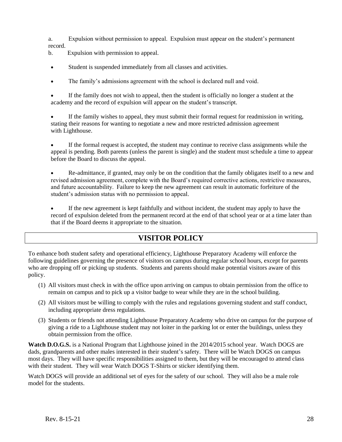a. Expulsion without permission to appeal.  Expulsion must appear on the student's permanent record.

b. Expulsion with permission to appeal.

- Student is suspended immediately from all classes and activities.
- The family's admissions agreement with the school is declared null and void.

If the family does not wish to appeal, then the student is officially no longer a student at the academy and the record of expulsion will appear on the student's transcript.

• If the family wishes to appeal, they must submit their formal request for readmission in writing, stating their reasons for wanting to negotiate a new and more restricted admission agreement with Lighthouse.

If the formal request is accepted, the student may continue to receive class assignments while the appeal is pending. Both parents (unless the parent is single) and the student must schedule a time to appear before the Board to discuss the appeal.

• Re-admittance, if granted, may only be on the condition that the family obligates itself to a new and revised admission agreement, complete with the Board's required corrective actions, restrictive measures, and future accountability.  Failure to keep the new agreement can result in automatic forfeiture of the student's admission status with no permission to appeal.

If the new agreement is kept faithfully and without incident, the student may apply to have the record of expulsion deleted from the permanent record at the end of that school year or at a time later than that if the Board deems it appropriate to the situation.

## **VISITOR POLICY**

<span id="page-27-0"></span>To enhance both student safety and operational efficiency, Lighthouse Preparatory Academy will enforce the following guidelines governing the presence of visitors on campus during regular school hours, except for parents who are dropping off or picking up students. Students and parents should make potential visitors aware of this policy.

- (1) All visitors must check in with the office upon arriving on campus to obtain permission from the office to remain on campus and to pick up a visitor badge to wear while they are in the school building.
- (2) All visitors must be willing to comply with the rules and regulations governing student and staff conduct, including appropriate dress regulations.
- (3) Students or friends not attending Lighthouse Preparatory Academy who drive on campus for the purpose of giving a ride to a Lighthouse student may not loiter in the parking lot or enter the buildings, unless they obtain permission from the office.

**Watch D.O.G.S.** is a National Program that Lighthouse joined in the 2014/2015 school year. Watch DOGS are dads, grandparents and other males interested in their student's safety. There will be Watch DOGS on campus most days. They will have specific responsibilities assigned to them, but they will be encouraged to attend class with their student. They will wear Watch DOGS T-Shirts or sticker identifying them.

Watch DOGS will provide an additional set of eyes for the safety of our school. They will also be a male role model for the students.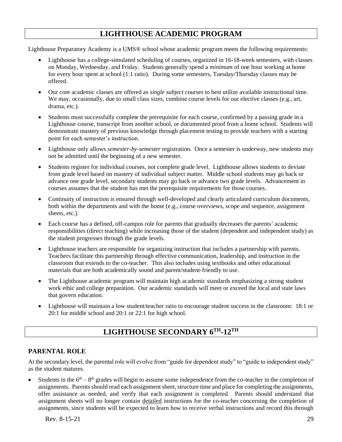## **LIGHTHOUSE ACADEMIC PROGRAM**

<span id="page-28-0"></span>Lighthouse Preparatory Academy is a UMS® school whose academic program meets the following requirements:

- Lighthouse has a college-simulated scheduling of courses, organized in 16-18-week semesters, with classes on Monday, Wednesday, and Friday. Students generally spend a *minimum* of one hour working at home for every hour spent at school (1:1 ratio). During some semesters, Tuesday/Thursday classes may be offered.
- Our core academic classes are offered as *single subject* courses to best utilize available instructional time. We may, occasionally, due to small class sizes, combine course levels for our elective classes (e.g., art, drama, etc.).
- Students must successfully complete the prerequisite for each course, confirmed by a passing grade in a Lighthouse course, transcript from another school, or documented proof from a home school. Students will demonstrate mastery of previous knowledge through placement testing to provide teachers with a starting point for each semester's instruction.
- Lighthouse only allows *semester-by-semester* registration. Once a semester is underway, new students may not be admitted until the beginning of a new semester.
- Students register for individual courses, not complete grade level. Lighthouse allows students to deviate from grade level based on mastery of individual subject matter. Middle school students may go back or advance one grade level, secondary students may go back or advance two grade levels. Advancement in courses assumes that the student has met the prerequisite requirements for those courses.
- Continuity of instruction is ensured through well-developed and clearly articulated curriculum documents, both within the departments and with the home (e.g., course overviews, scope and sequence, assignment sheets, etc.).
- Each course has a defined, off-campus role for parents that gradually decreases the parents' academic responsibilities (direct teaching) while increasing those of the student (dependent and independent study) as the student progresses through the grade levels.
- Lighthouse teachers are responsible for organizing instruction that includes a partnership with parents. Teachers facilitate this partnership through effective communication, leadership, and instruction in the classroom that extends to the co-teacher. This also includes using textbooks and other educational materials that are both academically sound and parent/student-friendly to use.
- The Lighthouse academic program will maintain high academic standards emphasizing a strong student work ethic and college preparation. Our academic standards will meet or exceed the local and state laws that govern education.
- <span id="page-28-1"></span>• Lighthouse will maintain a low student/teacher ratio to encourage student success in the classroom: 18:1 or 20:1 for middle school and 20:1 or 22:1 for high school.

## **LIGHTHOUSE SECONDARY 6TH-12TH**

#### <span id="page-28-2"></span>**PARENTAL ROLE**

At the secondary level, the parental role will evolve from "guide for dependent study" to "guide to independent study" as the student matures.

• Students in the  $6<sup>th</sup> - 8<sup>th</sup>$  grades will begin to assume some independence from the co-teacher in the completion of assignments. Parents should read each assignment sheet, structure time and place for completing the assignments, offer assistance as needed, and verify that each assignment is completed. Parents should understand that assignment sheets will no longer contain detailed instructions for the co-teacher concerning the completion of assignments, since students will be expected to learn how to receive verbal instructions and record this through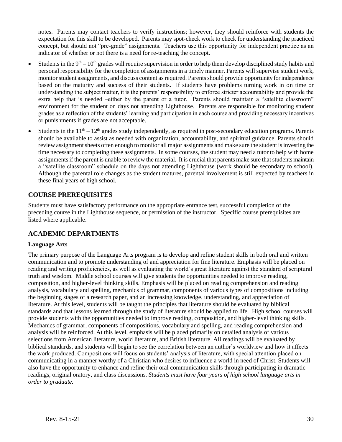notes. Parents may contact teachers to verify instructions; however, they should reinforce with students the expectation for this skill to be developed. Parents may spot-check work to check for understanding the practiced concept, but should not "pre-grade" assignments. Teachers use this opportunity for independent practice as an indicator of whether or not there is a need for re-teaching the concept.

- Students in the  $9<sup>th</sup> 10<sup>th</sup>$  grades will require supervision in order to help them develop disciplined study habits and personal responsibility for the completion of assignments in a timely manner. Parents will supervise student work, monitor student assignments, and discuss content as required. Parents should provide opportunity for independence based on the maturity and success of their students. If students have problems turning work in on time or understanding the subject matter, it is the parents' responsibility to enforce stricter accountability and provide the extra help that is needed –either by the parent or a tutor. Parents should maintain a "satellite classroom" environment for the student on days not attending Lighthouse. Parents are responsible for monitoring student grades as a reflection of the students' learning and participation in each course and providing necessary incentives or punishments if grades are not acceptable.
- Students in the  $11<sup>th</sup> 12<sup>th</sup>$  grades study independently, as required in post-secondary education programs. Parents should be available to assist as needed with organization, accountability, and spiritual guidance. Parents should review assignment sheets often enough to monitor all major assignments and make sure the student is investing the time necessary to completing these assignments. In some courses, the student may need a tutor to help with home assignments if the parent is unable to review the material. It is crucial that parents make sure that students maintain a "satellite classroom" schedule on the days not attending Lighthouse (work should be secondary to school). Although the parental role changes as the student matures, parental involvement is still expected by teachers in these final years of high school.

#### <span id="page-29-0"></span>**COURSE PREREQUISITES**

Students must have satisfactory performance on the appropriate entrance test, successful completion of the preceding course in the Lighthouse sequence, or permission of the instructor. Specific course prerequisites are listed where applicable.

#### <span id="page-29-1"></span>**ACADEMIC DEPARTMENTS**

#### **Language Arts**

The primary purpose of the Language Arts program is to develop and refine student skills in both oral and written communication and to promote understanding of and appreciation for fine literature. Emphasis will be placed on reading and writing proficiencies, as well as evaluating the world's great literature against the standard of scriptural truth and wisdom. Middle school courses will give students the opportunities needed to improve reading, composition, and higher-level thinking skills. Emphasis will be placed on reading comprehension and reading analysis, vocabulary and spelling, mechanics of grammar, components of various types of compositions including the beginning stages of a research paper, and an increasing knowledge, understanding, and appreciation of literature. At this level, students will be taught the principles that literature should be evaluated by biblical standards and that lessons learned through the study of literature should be applied to life. High school courses will provide students with the opportunities needed to improve reading, composition, and higher-level thinking skills. Mechanics of grammar, components of compositions, vocabulary and spelling, and reading comprehension and analysis will be reinforced. At this level, emphasis will be placed primarily on detailed analysis of various selections from American literature, world literature, and British literature. All readings will be evaluated by biblical standards, and students will begin to see the correlation between an author's worldview and how it affects the work produced. Compositions will focus on students' analysis of literature, with special attention placed on communicating in a manner worthy of a Christian who desires to influence a world in need of Christ. Students will also have the opportunity to enhance and refine their oral communication skills through participating in dramatic readings, original oratory, and class discussions. *Students must have four years of high school language arts in order to graduate.*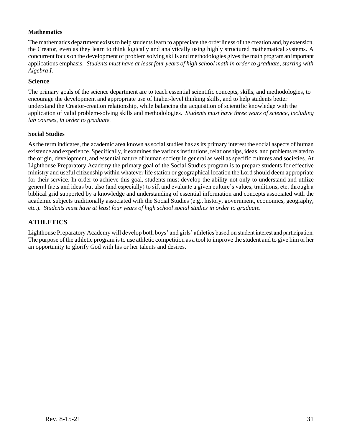#### **Mathematics**

The mathematics department exists to help students learn to appreciate the orderliness of the creation and, by extension, the Creator, even as they learn to think logically and analytically using highly structured mathematical systems. A concurrent focus on the development of problem solving skills and methodologies gives the math program an important applications emphasis. *Students must have at least four years of high school math in order to graduate, starting with Algebra I.*

#### **Science**

The primary goals of the science department are to teach essential scientific concepts, skills, and methodologies, to encourage the development and appropriate use of higher-level thinking skills, and to help students better understand the Creator-creation relationship, while balancing the acquisition of scientific knowledge with the application of valid problem-solving skills and methodologies. *Students must have three years of science, including lab courses, in order to graduate.*

#### **Social Studies**

As the term indicates, the academic area known as social studies has as its primary interest the social aspects of human existence and experience. Specifically, it examines the various institutions, relationships, ideas, and problems related to the origin, development, and essential nature of human society in general as well as specific cultures and societies. At Lighthouse Preparatory Academy the primary goal of the Social Studies program is to prepare students for effective ministry and useful citizenship within whatever life station or geographical location the Lord should deem appropriate for their service. In order to achieve this goal, students must develop the ability not only to understand and utilize general facts and ideas but also (and especially) to sift and evaluate a given culture's values, traditions, etc. through a biblical grid supported by a knowledge and understanding of essential information and concepts associated with the academic subjects traditionally associated with the Social Studies (e.g., history, government, economics, geography, etc.). *Students must have at least four years of high school social studies in order to graduate.*

#### <span id="page-30-0"></span>**ATHLETICS**

Lighthouse Preparatory Academy will develop both boys' and girls' athletics based on student interest and participation. The purpose of the athletic program is to use athletic competition as a tool to improve the student and to give him or her an opportunity to glorify God with his or her talents and desires.